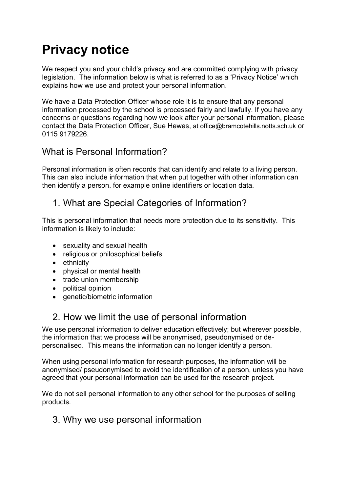# **Privacy notice**

We respect you and your child's privacy and are committed complying with privacy legislation. The information below is what is referred to as a 'Privacy Notice' which explains how we use and protect your personal information.

We have a Data Protection Officer whose role it is to ensure that any personal information processed by the school is processed fairly and lawfully. If you have any concerns or questions regarding how we look after your personal information, please contact the Data Protection Officer, Sue Hewes, at office@bramcotehills.notts.sch.uk or 0115 9179226.

#### What is Personal Information?

Personal information is often records that can identify and relate to a living person. This can also include information that when put together with other information can then identify a person. for example online identifiers or location data.

#### 1. What are Special Categories of Information?

This is personal information that needs more protection due to its sensitivity. This information is likely to include:

- sexuality and sexual health
- religious or philosophical beliefs
- ethnicity
- physical or mental health
- trade union membership
- political opinion
- genetic/biometric information

## 2. How we limit the use of personal information

We use personal information to deliver education effectively; but wherever possible, the information that we process will be anonymised, pseudonymised or depersonalised. This means the information can no longer identify a person.

When using personal information for research purposes, the information will be anonymised/ pseudonymised to avoid the identification of a person, unless you have agreed that your personal information can be used for the research project.

We do not sell personal information to any other school for the purposes of selling products.

#### 3. Why we use personal information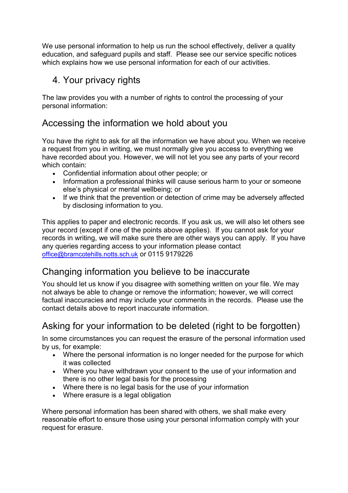We use personal information to help us run the school effectively, deliver a quality education, and safeguard pupils and staff. Please see our service specific notices which explains how we use personal information for each of our activities.

## 4. Your privacy rights

The law provides you with a number of rights to control the processing of your personal information:

## Accessing the information we hold about you

You have the right to ask for all the information we have about you. When we receive a request from you in writing, we must normally give you access to everything we have recorded about you. However, we will not let you see any parts of your record which contain:

- Confidential information about other people; or
- Information a professional thinks will cause serious harm to your or someone else's physical or mental wellbeing; or
- If we think that the prevention or detection of crime may be adversely affected by disclosing information to you.

This applies to paper and electronic records. If you ask us, we will also let others see your record (except if one of the points above applies). If you cannot ask for your records in writing, we will make sure there are other ways you can apply. If you have any queries regarding access to your information please contact [office@bramcotehills.notts.sch.uk](mailto:office@bramcotehills.notts.sch.uk) or 0115 9179226

# Changing information you believe to be inaccurate

You should let us know if you disagree with something written on your file. We may not always be able to change or remove the information; however, we will correct factual inaccuracies and may include your comments in the records. [Please use the](https://forms.essex.gov.uk/default.aspx/RenderForm/?F.Name=r4Qcams7sBg&HideAll=1)  [contact details above to report inaccurate information.](https://forms.essex.gov.uk/default.aspx/RenderForm/?F.Name=r4Qcams7sBg&HideAll=1)

# Asking for your information to be deleted (right to be forgotten)

In some circumstances you can request the erasure of the personal information used by us, for example:

- Where the personal information is no longer needed for the purpose for which it was collected
- Where you have withdrawn your consent to the use of your information and there is no other legal basis for the processing
- Where there is no legal basis for the use of your information
- Where erasure is a legal obligation

Where personal information has been shared with others, we shall make every reasonable effort to ensure those using your personal information comply with your request for erasure.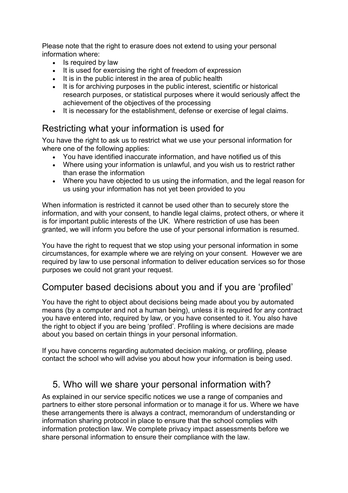Please note that the right to erasure does not extend to using your personal information where:

- Is required by law
- It is used for exercising the right of freedom of expression
- It is in the public interest in the area of public health
- It is for archiving purposes in the public interest, scientific or historical research purposes, or statistical purposes where it would seriously affect the achievement of the objectives of the processing
- It is necessary for the establishment, defense or exercise of legal claims.

## Restricting what your information is used for

You have the right to ask us to restrict what we use your personal information for where one of the following applies:

- You have identified inaccurate information, and have notified us of this
- Where using your information is unlawful, and you wish us to restrict rather than erase the information
- Where you have objected to us using the information, and the legal reason for us using your information has not yet been provided to you

When information is restricted it cannot be used other than to securely store the information, and with your consent, to handle legal claims, protect others, or where it is for important public interests of the UK. Where restriction of use has been granted, we will inform you before the use of your personal information is resumed.

You have the right to request that we stop using your personal information in some circumstances, for example where we are relying on your consent. However we are required by law to use personal information to deliver education services so for those purposes we could not grant your request.

## Computer based decisions about you and if you are 'profiled'

You have the right to object about decisions being made about you by automated means (by a computer and not a human being), unless it is required for any contract you have entered into, required by law, or you have consented to it. You also have the right to object if you are being 'profiled'. Profiling is where decisions are made about you based on certain things in your personal information.

If you have concerns regarding automated decision making, or profiling, please contact the school who will advise you about how your information is being used.

## 5. Who will we share your personal information with?

As explained in our service specific notices we use a range of companies and partners to either store personal information or to manage it for us. Where we have these arrangements there is always a contract, memorandum of understanding or information sharing protocol in place to ensure that the school complies with information protection law. We complete privacy impact assessments before we share personal information to ensure their compliance with the law.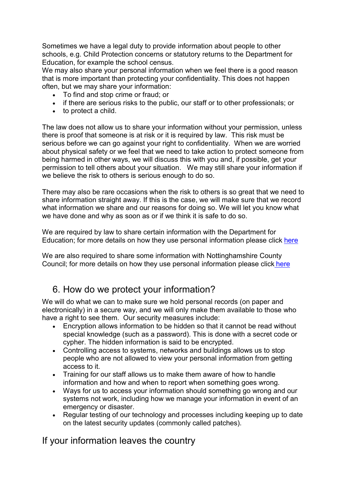Sometimes we have a legal duty to provide information about people to other schools, e.g. Child Protection concerns or statutory returns to the Department for Education, for example the school census.

We may also share your personal information when we feel there is a good reason that is more important than protecting your confidentiality. This does not happen often, but we may share your information:

- To find and stop crime or fraud; or
- if there are serious risks to the public, our staff or to other professionals; or
- to protect a child.

The law does not allow us to share your information without your permission, unless there is proof that someone is at risk or it is required by law. This risk must be serious before we can go against your right to confidentiality. When we are worried about physical safety or we feel that we need to take action to protect someone from being harmed in other ways, we will discuss this with you and, if possible, get your permission to tell others about your situation. We may still share your information if we believe the risk to others is serious enough to do so.

There may also be rare occasions when the risk to others is so great that we need to share information straight away. If this is the case, we will make sure that we record what information we share and our reasons for doing so. We will let you know what we have done and why as soon as or if we think it is safe to do so.

We are required by law to share certain information with the Department for Education; for more details on how they use personal information please click [here](https://www.gov.uk/guidance/data-protection-how-we-collect-and-share-research-data)

We are also required to share some information with Nottinghamshire County Council; for more details on how they use personal information please click [here](https://www.nottinghamshire.gov.uk/global-content/privacy)

#### 6. How do we protect your information?

We will do what we can to make sure we hold personal records (on paper and electronically) in a secure way, and we will only make them available to those who have a right to see them. Our security measures include:

- Encryption allows information to be hidden so that it cannot be read without special knowledge (such as a password). This is done with a secret code or cypher. The hidden information is said to be encrypted.
- Controlling access to systems, networks and buildings allows us to stop people who are not allowed to view your personal information from getting access to it.
- Training for our staff allows us to make them aware of how to handle information and how and when to report when something goes wrong.
- Ways for us to access your information should something go wrong and our systems not work, including how we manage your information in event of an emergency or disaster.
- Regular testing of our technology and processes including keeping up to date on the latest security updates (commonly called patches).

#### If your information leaves the country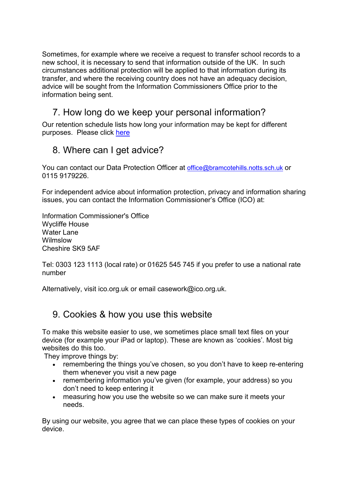Sometimes, for example where we receive a request to transfer school records to a new school, it is necessary to send that information outside of the UK. In such circumstances additional protection will be applied to that information during its transfer, and where the receiving country does not have an adequacy decision, advice will be sought from the Information Commissioners Office prior to the information being sent.

## 7. How long do we keep your personal information?

Our retention schedule lists how long your information may be kept for different purposes. Please click [here](https://c.ymcdn.com/sites/irms.site-ym.com/resource/collection/8BCEF755-0353-4F66-9877-CCDA4BFEEAC4/2016_IRMS_Toolkit_for_Schools_v5_Master.pdf)

#### 8. Where can I get advice?

You can contact our Data Protection Officer at [office@bramcotehills.notts.sch.uk](mailto:office@bramcotehills.notts.sch.uk) or 0115 9179226.

For independent advice about information protection, privacy and information sharing issues, you can contact the Information Commissioner's Office (ICO) at:

Information Commissioner's Office Wycliffe House Water Lane Wilmslow Cheshire SK9 5AF

Tel: 0303 123 1113 (local rate) or 01625 545 745 if you prefer to use a national rate number

Alternatively, visit [ico.org.uk](https://ico.org.uk/) or email [casework@ico.org.uk.](mailto:casework@ico.org.uk)

#### 9. Cookies & how you use this website

To make this website easier to use, we sometimes place small text files on your device (for example your iPad or laptop). These are known as 'cookies'. Most big websites do this too.

They improve things by:

- remembering the things you've chosen, so you don't have to keep re-entering them whenever you visit a new page
- remembering information you've given (for example, your address) so you don't need to keep entering it
- measuring how you use the website so we can make sure it meets your needs.

By using our website, you agree that we can place these types of cookies on your device.